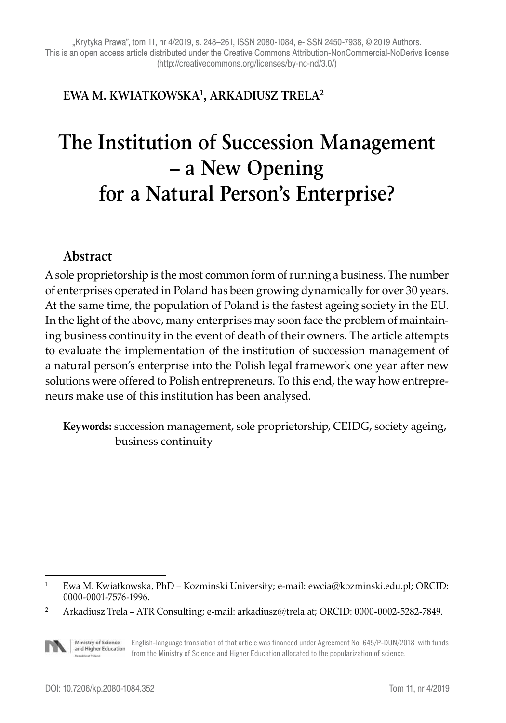#### **EWA M. KWIATKOWSKA1, ARKADIUSZ TRELA2**

# **The Institution of Succession Management – a New Opening for a Natural Person's Enterprise?**

#### **Abstract**

A sole proprietorship is the most common form of running a business. The number of enterprises operated in Poland has been growing dynamically for over 30 years. At the same time, the population of Poland is the fastest ageing society in the EU. In the light of the above, many enterprises may soon face the problem of maintaining business continuity in the event of death of their owners. The article attempts to evaluate the implementation of the institution of succession management of a natural person's enterprise into the Polish legal framework one year after new solutions were offered to Polish entrepreneurs. To this end, the way how entrepreneurs make use of this institution has been analysed.

**Keywords:** succession management, sole proprietorship, CEIDG, society ageing, business continuity

Ministry of Science<br>and Higher Education English-language translation of that article was financed under Agreement No. 645/P-DUN/2018 with funds from the Ministry of Science and Higher Education allocated to the popularization of science.

<sup>1</sup> Ewa M. Kwiatkowska, PhD – Kozminski University; e-mail: ewcia@kozminski.edu.pl; ORCID: 0000-0001-7576-1996.

<sup>2</sup> Arkadiusz Trela – ATR Consulting; e-mail: arkadiusz@trela.at; ORCID: 0000-0002-5282-7849.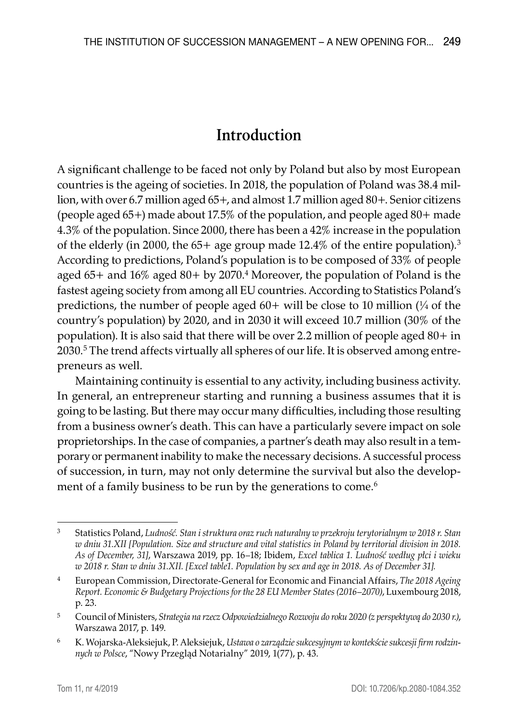## **Introduction**

A significant challenge to be faced not only by Poland but also by most European countries is the ageing of societies. In 2018, the population of Poland was 38.4 million, with over 6.7 million aged 65+, and almost 1.7 million aged 80+. Senior citizens (people aged 65+) made about 17.5% of the population, and people aged 80+ made 4.3% of the population. Since 2000, there has been a 42% increase in the population of the elderly (in 2000, the  $65+$  age group made 12.4% of the entire population).<sup>3</sup> According to predictions, Poland's population is to be composed of 33% of people aged  $65+$  and  $16\%$  aged  $80+$  by  $2070.^4$  Moreover, the population of Poland is the fastest ageing society from among all EU countries. According to Statistics Poland's predictions, the number of people aged  $60+$  will be close to 10 million  $\frac{1}{4}$  of the country's population) by 2020, and in 2030 it will exceed 10.7 million (30% of the population). It is also said that there will be over 2.2 million of people aged 80+ in 2030.<sup>5</sup> The trend affects virtually all spheres of our life. It is observed among entrepreneurs as well.

Maintaining continuity is essential to any activity, including business activity. In general, an entrepreneur starting and running a business assumes that it is going to be lasting. But there may occur many difficulties, including those resulting from a business owner's death. This can have a particularly severe impact on sole proprietorships. In the case of companies, a partner's death may also result in a temporary or permanent inability to make the necessary decisions. A successful process of succession, in turn, may not only determine the survival but also the development of a family business to be run by the generations to come.<sup>6</sup>

<sup>3</sup> Statistics Poland, *Ludność. Stan i struktura oraz ruch naturalny w przekroju terytorialnym w 2018 r. Stan w dniu 31.XII [Population. Size and structure and vital statistics in Poland by territorial division in 2018. As of December, 31]*, Warszawa 2019, pp. 16–18; Ibidem, *Excel tablica 1. Ludność według płci i wieku w 2018 r. Stan w dniu 31.XII. [Excel table1. Population by sex and age in 2018. As of December 31].*

<sup>4</sup> European Commission, Directorate-General for Economic and Financial Affairs, *The 2018 Ageing Report. Economic & Budgetary Projections for the 28 EU Member States (2016–2070)*, Luxembourg 2018, p. 23.

<sup>5</sup> Council of Ministers, *Strategia na rzecz Odpowiedzialnego Rozwoju do roku 2020 (z perspektywą do 2030 r.)*, Warszawa 2017, p. 149.

<sup>6</sup> K. Wojarska-Aleksiejuk, P. Aleksiejuk, *Ustawa o zarządzie sukcesyjnym w kontekście sukcesji firm rodzinnych w Polsce*, "Nowy Przegląd Notarialny" 2019, 1(77), p. 43.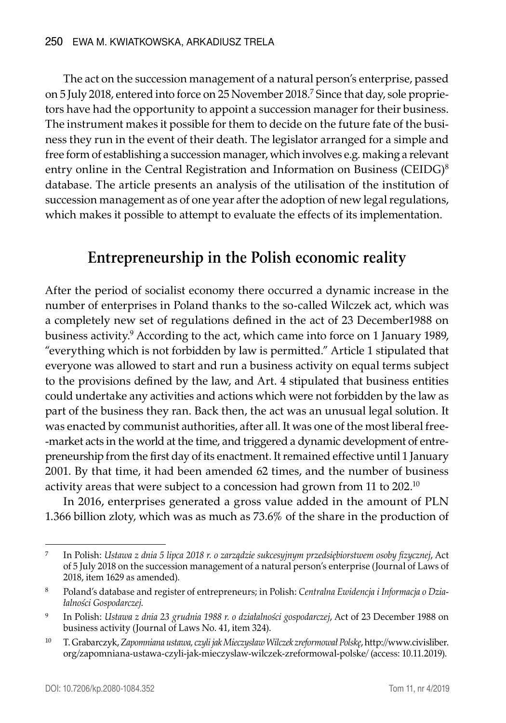The act on the succession management of a natural person's enterprise, passed on 5 July 2018, entered into force on 25 November 2018.7 Since that day, sole proprietors have had the opportunity to appoint a succession manager for their business. The instrument makes it possible for them to decide on the future fate of the business they run in the event of their death. The legislator arranged for a simple and free form of establishing a succession manager, which involves e.g. making a relevant entry online in the Central Registration and Information on Business (CEIDG)<sup>8</sup> database. The article presents an analysis of the utilisation of the institution of succession management as of one year after the adoption of new legal regulations, which makes it possible to attempt to evaluate the effects of its implementation.

## **Entrepreneurship in the Polish economic reality**

After the period of socialist economy there occurred a dynamic increase in the number of enterprises in Poland thanks to the so-called Wilczek act, which was a completely new set of regulations defined in the act of 23 December1988 on business activity.9 According to the act, which came into force on 1 January 1989, "everything which is not forbidden by law is permitted." Article 1 stipulated that everyone was allowed to start and run a business activity on equal terms subject to the provisions defined by the law, and Art. 4 stipulated that business entities could undertake any activities and actions which were not forbidden by the law as part of the business they ran. Back then, the act was an unusual legal solution. It was enacted by communist authorities, after all. It was one of the most liberal free -market acts in the world at the time, and triggered a dynamic development of entrepreneurship from the first day of its enactment. It remained effective until 1 January 2001. By that time, it had been amended 62 times, and the number of business activity areas that were subject to a concession had grown from 11 to  $202^{10}$ 

In 2016, enterprises generated a gross value added in the amount of PLN 1.366 billion zloty, which was as much as 73.6% of the share in the production of

<sup>7</sup> In Polish: *Ustawa z dnia 5 lipca 2018 r. o zarządzie sukcesyjnym przedsiębiorstwem osoby fizycznej*, Act of 5 July 2018 on the succession management of a natural person's enterprise (Journal of Laws of 2018, item 1629 as amended).

<sup>8</sup> Poland's database and register of entrepreneurs; in Polish: *Centralna Ewidencja i Informacja o Działalności Gospodarczej*.

<sup>9</sup> In Polish: *Ustawa z dnia 23 grudnia 1988 r. o działalności gospodarczej*, Act of 23 December 1988 on business activity (Journal of Laws No. 41, item 324).

<sup>10</sup> T. Grabarczyk, *Zapomniana ustawa, czyli jak Mieczysław Wilczek zreformował Polskę*, http://www.civisliber. org/zapomniana-ustawa-czyli-jak-mieczyslaw-wilczek-zreformowal-polske/ (access: 10.11.2019).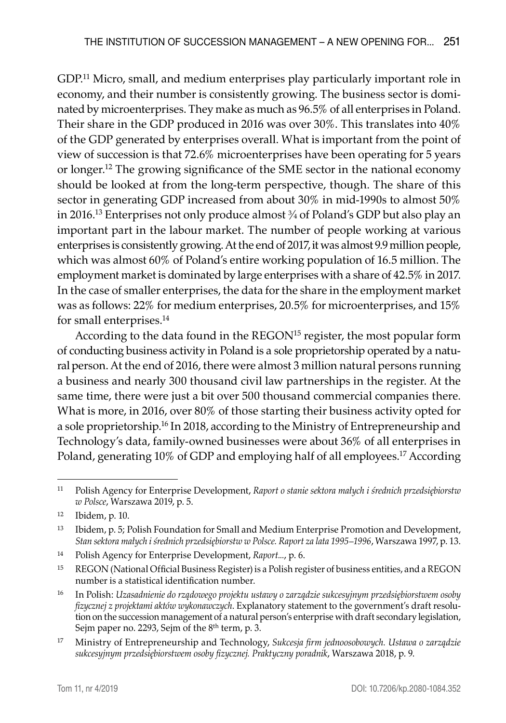GDP.<sup>11</sup> Micro, small, and medium enterprises play particularly important role in economy, and their number is consistently growing. The business sector is dominated by microenterprises. They make as much as 96.5% of all enterprises in Poland. Their share in the GDP produced in 2016 was over 30%. This translates into 40% of the GDP generated by enterprises overall. What is important from the point of view of succession is that 72.6% microenterprises have been operating for 5 years or longer.<sup>12</sup> The growing significance of the SME sector in the national economy should be looked at from the long-term perspective, though. The share of this sector in generating GDP increased from about 30% in mid-1990s to almost 50% in 2016.<sup>13</sup> Enterprises not only produce almost  $\frac{3}{4}$  of Poland's GDP but also play an important part in the labour market. The number of people working at various enterprises is consistently growing. At the end of 2017, it was almost 9.9 million people, which was almost 60% of Poland's entire working population of 16.5 million. The employment market is dominated by large enterprises with a share of 42.5% in 2017. In the case of smaller enterprises, the data for the share in the employment market was as follows: 22% for medium enterprises, 20.5% for microenterprises, and 15% for small enterprises.14

According to the data found in the REGON<sup>15</sup> register, the most popular form of conducting business activity in Poland is a sole proprietorship operated by a natural person. At the end of 2016, there were almost 3 million natural persons running a business and nearly 300 thousand civil law partnerships in the register. At the same time, there were just a bit over 500 thousand commercial companies there. What is more, in 2016, over 80% of those starting their business activity opted for a sole proprietorship.16 In 2018, according to the Ministry of Entrepreneurship and Technology's data, family-owned businesses were about 36% of all enterprises in Poland, generating 10% of GDP and employing half of all employees.<sup>17</sup> According

<sup>11</sup> Polish Agency for Enterprise Development, *Raport o stanie sektora małych i średnich przedsiębiorstw w Polsce*, Warszawa 2019, p. 5.

<sup>12</sup> Ibidem, p. 10.

<sup>13</sup> Ibidem, p. 5; Polish Foundation for Small and Medium Enterprise Promotion and Development, *Stan sektora małych i średnich przedsiębiorstw w Polsce. Raport za lata 1995–1996*, Warszawa 1997, p. 13.

<sup>14</sup> Polish Agency for Enterprise Development, *Raport...*, p. 6.

<sup>15</sup> REGON (National Official Business Register) is a Polish register of business entities, and a REGON number is a statistical identification number.

<sup>16</sup> In Polish: *Uzasadnienie do rządowego projektu ustawy o zarządzie sukcesyjnym przedsiębiorstwem osoby fizycznej z projektami aktów wykonawczych*. Explanatory statement to the government's draft resolution on the succession management of a natural person's enterprise with draft secondary legislation, Sejm paper no. 2293, Sejm of the 8<sup>th</sup> term, p. 3.

<sup>17</sup> Ministry of Entrepreneurship and Technology, *Sukcesja firm jednoosobowych. Ustawa o zarządzie sukcesyjnym przedsiębiorstwem osoby fizycznej. Praktyczny poradnik*, Warszawa 2018, p. 9.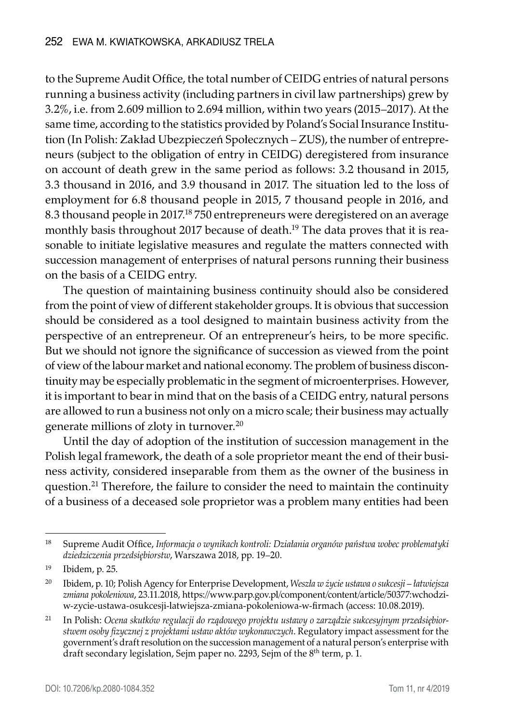to the Supreme Audit Office, the total number of CEIDG entries of natural persons running a business activity (including partners in civil law partnerships) grew by 3.2%, i.e. from 2.609 million to 2.694 million, within two years (2015–2017). At the same time, according to the statistics provided by Poland's Social Insurance Institution (In Polish: Zakład Ubezpieczeń Społecznych – ZUS), the number of entrepreneurs (subject to the obligation of entry in CEIDG) deregistered from insurance on account of death grew in the same period as follows: 3.2 thousand in 2015, 3.3 thousand in 2016, and 3.9 thousand in 2017. The situation led to the loss of employment for 6.8 thousand people in 2015, 7 thousand people in 2016, and 8.3 thousand people in 2017.<sup>18</sup> 750 entrepreneurs were deregistered on an average monthly basis throughout 2017 because of death.<sup>19</sup> The data proves that it is reasonable to initiate legislative measures and regulate the matters connected with succession management of enterprises of natural persons running their business on the basis of a CEIDG entry.

The question of maintaining business continuity should also be considered from the point of view of different stakeholder groups. It is obvious that succession should be considered as a tool designed to maintain business activity from the perspective of an entrepreneur. Of an entrepreneur's heirs, to be more specific. But we should not ignore the significance of succession as viewed from the point of view of the labour market and national economy. The problem of business discontinuity may be especially problematic in the segment of microenterprises. However, it is important to bear in mind that on the basis of a CEIDG entry, natural persons are allowed to run a business not only on a micro scale; their business may actually generate millions of zloty in turnover.20

Until the day of adoption of the institution of succession management in the Polish legal framework, the death of a sole proprietor meant the end of their business activity, considered inseparable from them as the owner of the business in question.<sup>21</sup> Therefore, the failure to consider the need to maintain the continuity of a business of a deceased sole proprietor was a problem many entities had been

<sup>18</sup> Supreme Audit Office, *Informacja o wynikach kontroli: Działania organów państwa wobec problematyki dziedziczenia przedsiębiorstw*, Warszawa 2018, pp. 19–20.

<sup>19</sup> Ibidem, p. 25.

<sup>20</sup> Ibidem, p. 10; Polish Agency for Enterprise Development, *Weszła w życie ustawa o sukcesji – łatwiejsza zmiana pokoleniowa*, 23.11.2018, https://www.parp.gov.pl/component/content/article/50377:wchodziw-zycie-ustawa-osukcesji-latwiejsza-zmiana-pokoleniowa-w-firmach (access: 10.08.2019).

<sup>21</sup> In Polish: *Ocena skutków regulacji do rządowego projektu ustawy o zarządzie sukcesyjnym przedsiębiorstwem osoby fizycznej z projektami ustaw aktów wykonawczych*. Regulatory impact assessment for the government's draft resolution on the succession management of a natural person's enterprise with draft secondary legislation, Sejm paper no. 2293, Sejm of the 8<sup>th</sup> term, p. 1.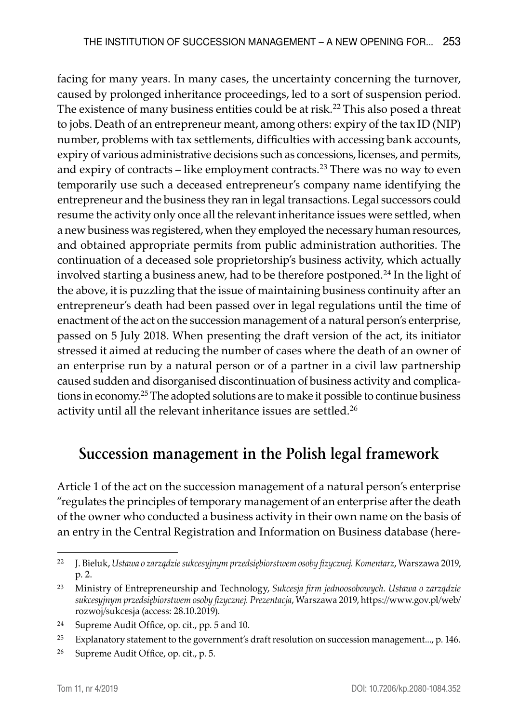facing for many years. In many cases, the uncertainty concerning the turnover, caused by prolonged inheritance proceedings, led to a sort of suspension period. The existence of many business entities could be at risk.<sup>22</sup> This also posed a threat to jobs. Death of an entrepreneur meant, among others: expiry of the tax ID (NIP) number, problems with tax settlements, difficulties with accessing bank accounts, expiry of various administrative decisions such as concessions, licenses, and permits, and expiry of contracts – like employment contracts.<sup>23</sup> There was no way to even temporarily use such a deceased entrepreneur's company name identifying the entrepreneur and the business they ran in legal transactions. Legal successors could resume the activity only once all the relevant inheritance issues were settled, when a new business was registered, when they employed the necessary human resources, and obtained appropriate permits from public administration authorities. The continuation of a deceased sole proprietorship's business activity, which actually involved starting a business anew, had to be therefore postponed.<sup>24</sup> In the light of the above, it is puzzling that the issue of maintaining business continuity after an entrepreneur's death had been passed over in legal regulations until the time of enactment of the act on the succession management of a natural person's enterprise, passed on 5 July 2018. When presenting the draft version of the act, its initiator stressed it aimed at reducing the number of cases where the death of an owner of an enterprise run by a natural person or of a partner in a civil law partnership caused sudden and disorganised discontinuation of business activity and complications in economy.25 The adopted solutions are to make it possible to continue business activity until all the relevant inheritance issues are settled.<sup>26</sup>

## **Succession management in the Polish legal framework**

Article 1 of the act on the succession management of a natural person's enterprise "regulates the principles of temporary management of an enterprise after the death of the owner who conducted a business activity in their own name on the basis of an entry in the Central Registration and Information on Business database (here-

<sup>22</sup> J. Bieluk, *Ustawa o zarządzie sukcesyjnym przedsiębiorstwem osoby fizycznej. Komentarz*, Warszawa 2019, p. 2.

<sup>23</sup> Ministry of Entrepreneurship and Technology, *Sukcesja firm jednoosobowych. Ustawa o zarządzie sukcesyjnym przedsiębiorstwem osoby fizycznej. Prezentacja*, Warszawa 2019, https://www.gov.pl/web/ rozwoj/sukcesja (access: 28.10.2019).

<sup>24</sup> Supreme Audit Office, op. cit., pp. 5 and 10.

<sup>25</sup> Explanatory statement to the government's draft resolution on succession management..., p. 146.

<sup>26</sup> Supreme Audit Office, op. cit., p. 5.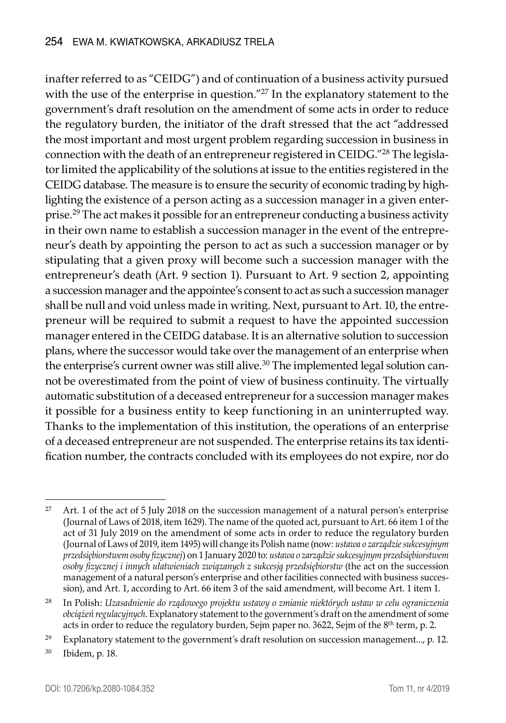inafter referred to as "CEIDG") and of continuation of a business activity pursued with the use of the enterprise in question."<sup>27</sup> In the explanatory statement to the government's draft resolution on the amendment of some acts in order to reduce the regulatory burden, the initiator of the draft stressed that the act "addressed the most important and most urgent problem regarding succession in business in connection with the death of an entrepreneur registered in CEIDG."28 The legislator limited the applicability of the solutions at issue to the entities registered in the CEIDG database. The measure is to ensure the security of economic trading by highlighting the existence of a person acting as a succession manager in a given enterprise.29 The act makes it possible for an entrepreneur conducting a business activity in their own name to establish a succession manager in the event of the entrepreneur's death by appointing the person to act as such a succession manager or by stipulating that a given proxy will become such a succession manager with the entrepreneur's death (Art. 9 section 1). Pursuant to Art. 9 section 2, appointing a succession manager and the appointee's consent to act as such a succession manager shall be null and void unless made in writing. Next, pursuant to Art. 10, the entrepreneur will be required to submit a request to have the appointed succession manager entered in the CEIDG database. It is an alternative solution to succession plans, where the successor would take over the management of an enterprise when the enterprise's current owner was still alive.<sup>30</sup> The implemented legal solution cannot be overestimated from the point of view of business continuity. The virtually automatic substitution of a deceased entrepreneur for a succession manager makes it possible for a business entity to keep functioning in an uninterrupted way. Thanks to the implementation of this institution, the operations of an enterprise of a deceased entrepreneur are not suspended. The enterprise retains its tax identification number, the contracts concluded with its employees do not expire, nor do

<sup>&</sup>lt;sup>27</sup> Art. 1 of the act of 5 July 2018 on the succession management of a natural person's enterprise (Journal of Laws of 2018, item 1629). The name of the quoted act, pursuant to Art. 66 item 1 of the act of 31 July 2019 on the amendment of some acts in order to reduce the regulatory burden (Journal of Laws of 2019, item 1495) will change its Polish name (now: *ustawa o zarządzie sukcesyjnym przedsiębiorstwem osoby fizycznej*) on 1 January 2020 to: *ustawa o zarządzie sukcesyjnym przedsiębiorstwem osoby fizycznej i innych ułatwieniach związanych z sukcesją przedsiębiorstw* (the act on the succession management of a natural person's enterprise and other facilities connected with business succession), and Art. 1, according to Art. 66 item 3 of the said amendment, will become Art. 1 item 1.

<sup>28</sup> In Polish: *Uzasadnienie do rządowego projektu ustawy o zmianie niektórych ustaw w celu ograniczenia obciążeń regulacyjnych*. Explanatory statement to the government's draft on the amendment of some acts in order to reduce the regulatory burden, Sejm paper no. 3622, Sejm of the 8th term, p. 2.

<sup>&</sup>lt;sup>29</sup> Explanatory statement to the government's draft resolution on succession management..., p. 12.

<sup>30</sup> Ibidem, p. 18.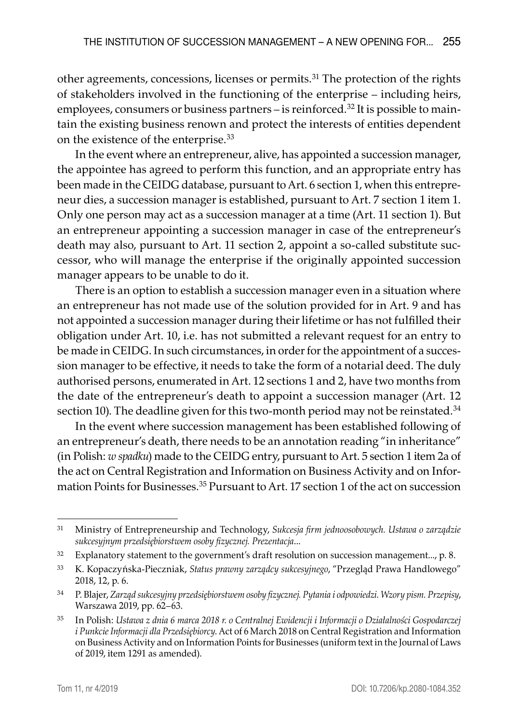other agreements, concessions, licenses or permits.31 The protection of the rights of stakeholders involved in the functioning of the enterprise – including heirs, employees, consumers or business partners – is reinforced.<sup>32</sup> It is possible to maintain the existing business renown and protect the interests of entities dependent on the existence of the enterprise.33

In the event where an entrepreneur, alive, has appointed a succession manager, the appointee has agreed to perform this function, and an appropriate entry has been made in the CEIDG database, pursuant to Art. 6 section 1, when this entrepreneur dies, a succession manager is established, pursuant to Art. 7 section 1 item 1. Only one person may act as a succession manager at a time (Art. 11 section 1). But an entrepreneur appointing a succession manager in case of the entrepreneur's death may also, pursuant to Art. 11 section 2, appoint a so-called substitute successor, who will manage the enterprise if the originally appointed succession manager appears to be unable to do it.

There is an option to establish a succession manager even in a situation where an entrepreneur has not made use of the solution provided for in Art. 9 and has not appointed a succession manager during their lifetime or has not fulfilled their obligation under Art. 10, i.e. has not submitted a relevant request for an entry to be made in CEIDG. In such circumstances, in order for the appointment of a succession manager to be effective, it needs to take the form of a notarial deed. The duly authorised persons, enumerated in Art. 12 sections 1 and 2, have two months from the date of the entrepreneur's death to appoint a succession manager (Art. 12 section 10). The deadline given for this two-month period may not be reinstated.<sup>34</sup>

In the event where succession management has been established following of an entrepreneur's death, there needs to be an annotation reading "in inheritance" (in Polish: *w spadku*) made to the CEIDG entry, pursuant to Art. 5 section 1 item 2a of the act on Central Registration and Information on Business Activity and on Information Points for Businesses.35 Pursuant to Art. 17 section 1 of the act on succession

<sup>31</sup> Ministry of Entrepreneurship and Technology, *Sukcesja firm jednoosobowych. Ustawa o zarządzie sukcesyjnym przedsiębiorstwem osoby fizycznej. Prezentacja*...

 $32$  Explanatory statement to the government's draft resolution on succession management..., p. 8.

<sup>33</sup> K. Kopaczyńska-Pieczniak, *Status prawny zarządcy sukcesyjnego*, "Przegląd Prawa Handlowego" 2018, 12, p. 6.

<sup>34</sup> P. Blajer, *Zarząd sukcesyjny przedsiębiorstwem osoby fizycznej. Pytania i odpowiedzi. Wzory pism. Przepisy*, Warszawa 2019, pp. 62–63.

<sup>35</sup> In Polish: *Ustawa z dnia 6 marca 2018 r. o Centralnej Ewidencji i Informacji o Działalności Gospodarczej i Punkcie Informacji dla Przedsiębiorcy*. Act of 6 March 2018 on Central Registration and Information on Business Activity and on Information Points for Businesses (uniform text in the Journal of Laws of 2019, item 1291 as amended).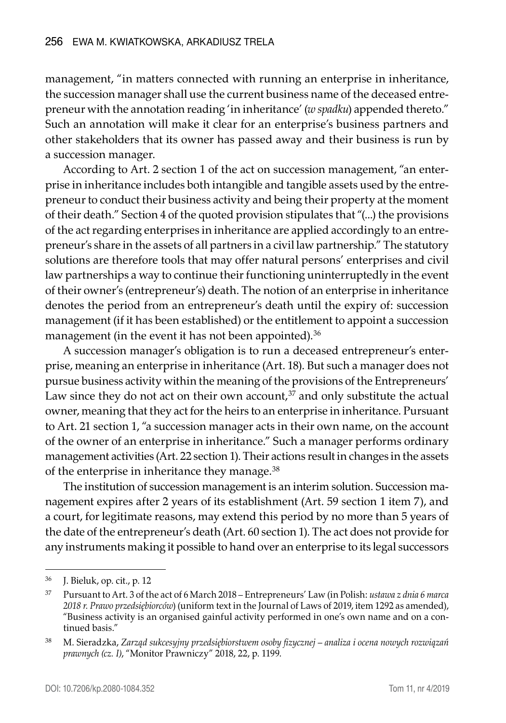management, "in matters connected with running an enterprise in inheritance, the succession manager shall use the current business name of the deceased entrepreneur with the annotation reading 'in inheritance' (*w spadku*) appended thereto." Such an annotation will make it clear for an enterprise's business partners and other stakeholders that its owner has passed away and their business is run by a succession manager.

According to Art. 2 section 1 of the act on succession management, "an enterprise in inheritance includes both intangible and tangible assets used by the entrepreneur to conduct their business activity and being their property at the moment of their death." Section 4 of the quoted provision stipulates that "(...) the provisions of the act regarding enterprises in inheritance are applied accordingly to an entrepreneur's share in the assets of all partners in a civil law partnership." The statutory solutions are therefore tools that may offer natural persons' enterprises and civil law partnerships a way to continue their functioning uninterruptedly in the event of their owner's (entrepreneur's) death. The notion of an enterprise in inheritance denotes the period from an entrepreneur's death until the expiry of: succession management (if it has been established) or the entitlement to appoint a succession management (in the event it has not been appointed).<sup>36</sup>

A succession manager's obligation is to run a deceased entrepreneur's enterprise, meaning an enterprise in inheritance (Art. 18). But such a manager does not pursue business activity within the meaning of the provisions of the Entrepreneurs' Law since they do not act on their own account, $37$  and only substitute the actual owner, meaning that they act for the heirs to an enterprise in inheritance. Pursuant to Art. 21 section 1, "a succession manager acts in their own name, on the account of the owner of an enterprise in inheritance." Such a manager performs ordinary management activities (Art. 22 section 1). Their actions result in changes in the assets of the enterprise in inheritance they manage.<sup>38</sup>

The institution of succession management is an interim solution. Succession management expires after 2 years of its establishment (Art. 59 section 1 item 7), and a court, for legitimate reasons, may extend this period by no more than 5 years of the date of the entrepreneur's death (Art. 60 section 1). The act does not provide for any instruments making it possible to hand over an enterprise to its legal successors

<sup>36</sup> J. Bieluk, op. cit., p. 12

<sup>37</sup> Pursuant to Art. 3 of the act of 6 March 2018 – Entrepreneurs' Law (in Polish: *ustawa z dnia 6 marca 2018 r. Prawo przedsiębiorców*) (uniform text in the Journal of Laws of 2019, item 1292 as amended), "Business activity is an organised gainful activity performed in one's own name and on a continued basis."

<sup>38</sup> M. Sieradzka, *Zarząd sukcesyjny przedsiębiorstwem osoby fizycznej – analiza i ocena nowych rozwiązań prawnych (cz. I)*, "Monitor Prawniczy" 2018, 22, p. 1199.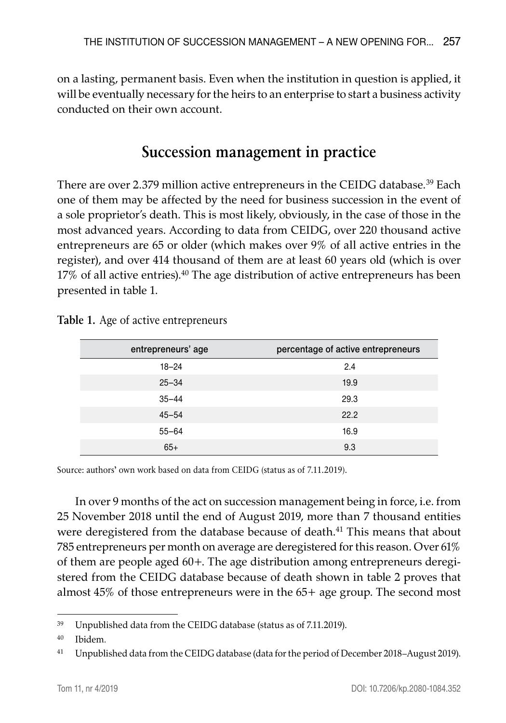on a lasting, permanent basis. Even when the institution in question is applied, it will be eventually necessary for the heirs to an enterprise to start a business activity conducted on their own account.

### **Succession management in practice**

There are over 2.379 million active entrepreneurs in the CEIDG database.39 Each one of them may be affected by the need for business succession in the event of a sole proprietor's death. This is most likely, obviously, in the case of those in the most advanced years. According to data from CEIDG, over 220 thousand active entrepreneurs are 65 or older (which makes over 9% of all active entries in the register), and over 414 thousand of them are at least 60 years old (which is over  $17\%$  of all active entries).<sup>40</sup> The age distribution of active entrepreneurs has been presented in table 1.

| entrepreneurs' age | percentage of active entrepreneurs |
|--------------------|------------------------------------|
| $18 - 24$          | 2.4                                |
| $25 - 34$          | 19.9                               |
| $35 - 44$          | 29.3                               |
| $45 - 54$          | 22.2                               |
| $55 - 64$          | 16.9                               |
| $65+$              | 9.3                                |

**Table 1.** Age of active entrepreneurs

Source: authors' own work based on data from CEIDG (status as of 7.11.2019).

In over 9 months of the act on succession management being in force, i.e. from 25 November 2018 until the end of August 2019, more than 7 thousand entities were deregistered from the database because of death.<sup>41</sup> This means that about 785 entrepreneurs per month on average are deregistered for this reason. Over 61% of them are people aged 60+. The age distribution among entrepreneurs deregistered from the CEIDG database because of death shown in table 2 proves that almost 45% of those entrepreneurs were in the 65+ age group. The second most

<sup>39</sup> Unpublished data from the CEIDG database (status as of 7.11.2019).

<sup>40</sup> Ibidem*.*

<sup>41</sup> Unpublished data from the CEIDG database (data for the period of December 2018–August 2019).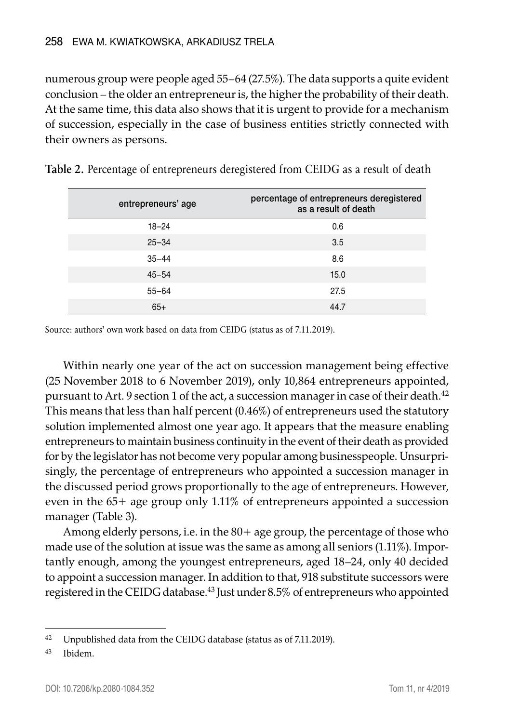numerous group were people aged 55–64 (27.5%). The data supports a quite evident conclusion – the older an entrepreneur is, the higher the probability of their death. At the same time, this data also shows that it is urgent to provide for a mechanism of succession, especially in the case of business entities strictly connected with their owners as persons.

| entrepreneurs' age | percentage of entrepreneurs deregistered<br>as a result of death |
|--------------------|------------------------------------------------------------------|
| $18 - 24$          | 0.6                                                              |
| $25 - 34$          | 3.5                                                              |
| $35 - 44$          | 8.6                                                              |
| $45 - 54$          | 15.0                                                             |
| $55 - 64$          | 27.5                                                             |
| $65+$              | 44.7                                                             |

Source: authors' own work based on data from CEIDG (status as of 7.11.2019).

Within nearly one year of the act on succession management being effective (25 November 2018 to 6 November 2019), only 10,864 entrepreneurs appointed, pursuant to Art. 9 section 1 of the act, a succession manager in case of their death.<sup>42</sup> This means that less than half percent (0.46%) of entrepreneurs used the statutory solution implemented almost one year ago. It appears that the measure enabling entrepreneurs to maintain business continuity in the event of their death as provided for by the legislator has not become very popular among businesspeople. Unsurprisingly, the percentage of entrepreneurs who appointed a succession manager in the discussed period grows proportionally to the age of entrepreneurs. However, even in the 65+ age group only 1.11% of entrepreneurs appointed a succession manager (Table 3).

Among elderly persons, i.e. in the 80+ age group, the percentage of those who made use of the solution at issue was the same as among all seniors (1.11%). Importantly enough, among the youngest entrepreneurs, aged 18–24, only 40 decided to appoint a succession manager. In addition to that, 918 substitute successors were registered in the CEIDG database.43 Just under 8.5% of entrepreneurs who appointed

<sup>&</sup>lt;sup>42</sup> Unpublished data from the CEIDG database (status as of 7.11.2019).

<sup>43</sup> Ibidem.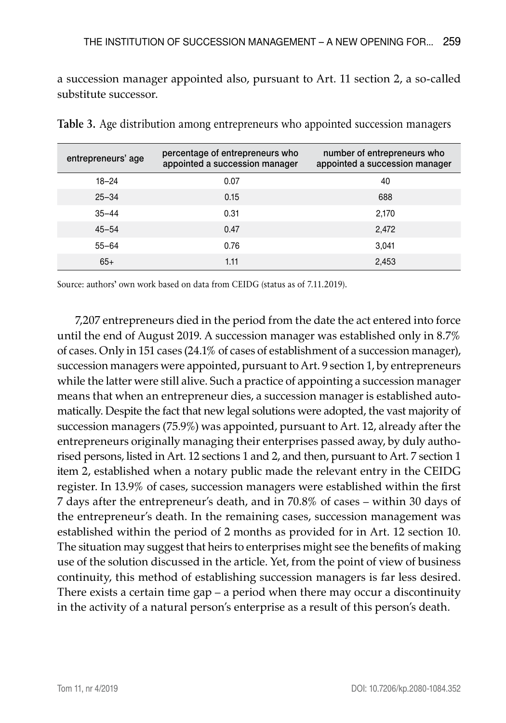a succession manager appointed also, pursuant to Art. 11 section 2, a so-called substitute successor.

| entrepreneurs' age | percentage of entrepreneurs who<br>appointed a succession manager | number of entrepreneurs who<br>appointed a succession manager |
|--------------------|-------------------------------------------------------------------|---------------------------------------------------------------|
| $18 - 24$          | 0.07                                                              | 40                                                            |
| $25 - 34$          | 0.15                                                              | 688                                                           |
| $35 - 44$          | 0.31                                                              | 2,170                                                         |
| $45 - 54$          | 0.47                                                              | 2.472                                                         |
| $55 - 64$          | 0.76                                                              | 3.041                                                         |
| $65+$              | 1.11                                                              | 2,453                                                         |

**Table 3.** Age distribution among entrepreneurs who appointed succession managers

Source: authors' own work based on data from CEIDG (status as of 7.11.2019).

7,207 entrepreneurs died in the period from the date the act entered into force until the end of August 2019. A succession manager was established only in 8.7% of cases. Only in 151 cases (24.1% of cases of establishment of a succession manager), succession managers were appointed, pursuant to Art. 9 section 1, by entrepreneurs while the latter were still alive. Such a practice of appointing a succession manager means that when an entrepreneur dies, a succession manager is established automatically. Despite the fact that new legal solutions were adopted, the vast majority of succession managers (75.9%) was appointed, pursuant to Art. 12, already after the entrepreneurs originally managing their enterprises passed away, by duly authorised persons, listed in Art. 12 sections 1 and 2, and then, pursuant to Art. 7 section 1 item 2, established when a notary public made the relevant entry in the CEIDG register. In 13.9% of cases, succession managers were established within the first 7 days after the entrepreneur's death, and in 70.8% of cases – within 30 days of the entrepreneur's death. In the remaining cases, succession management was established within the period of 2 months as provided for in Art. 12 section 10. The situation may suggest that heirs to enterprises might see the benefits of making use of the solution discussed in the article. Yet, from the point of view of business continuity, this method of establishing succession managers is far less desired. There exists a certain time gap – a period when there may occur a discontinuity in the activity of a natural person's enterprise as a result of this person's death.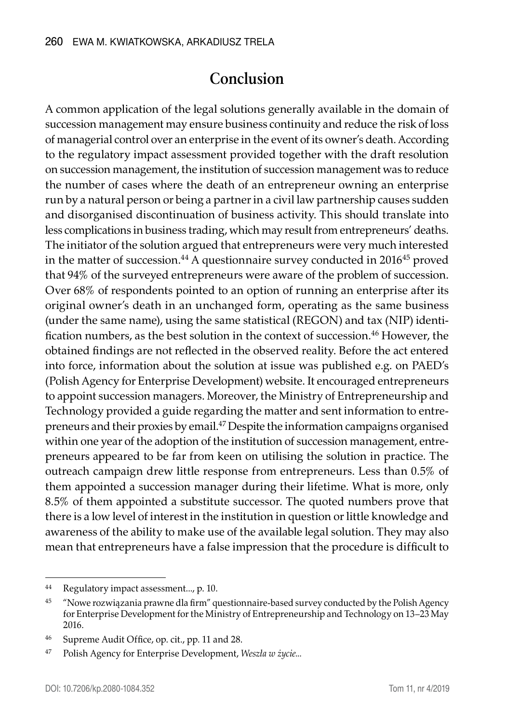#### **Conclusion**

A common application of the legal solutions generally available in the domain of succession management may ensure business continuity and reduce the risk of loss of managerial control over an enterprise in the event of its owner's death. According to the regulatory impact assessment provided together with the draft resolution on succession management, the institution of succession management was to reduce the number of cases where the death of an entrepreneur owning an enterprise run by a natural person or being a partner in a civil law partnership causes sudden and disorganised discontinuation of business activity. This should translate into less complications in business trading, which may result from entrepreneurs' deaths. The initiator of the solution argued that entrepreneurs were very much interested in the matter of succession.<sup>44</sup> A questionnaire survey conducted in 2016<sup>45</sup> proved that 94% of the surveyed entrepreneurs were aware of the problem of succession. Over 68% of respondents pointed to an option of running an enterprise after its original owner's death in an unchanged form, operating as the same business (under the same name), using the same statistical (REGON) and tax (NIP) identification numbers, as the best solution in the context of succession.46 However, the obtained findings are not reflected in the observed reality. Before the act entered into force, information about the solution at issue was published e.g. on PAED's (Polish Agency for Enterprise Development) website. It encouraged entrepreneurs to appoint succession managers. Moreover, the Ministry of Entrepreneurship and Technology provided a guide regarding the matter and sent information to entrepreneurs and their proxies by email.47 Despite the information campaigns organised within one year of the adoption of the institution of succession management, entrepreneurs appeared to be far from keen on utilising the solution in practice. The outreach campaign drew little response from entrepreneurs. Less than 0.5% of them appointed a succession manager during their lifetime. What is more, only 8.5% of them appointed a substitute successor. The quoted numbers prove that there is a low level of interest in the institution in question or little knowledge and awareness of the ability to make use of the available legal solution. They may also mean that entrepreneurs have a false impression that the procedure is difficult to

<sup>44</sup> Regulatory impact assessment..., p. 10.

<sup>45</sup> "Nowe rozwiązania prawne dla firm" questionnaire-based survey conducted by the Polish Agency for Enterprise Development for the Ministry of Entrepreneurship and Technology on 13–23 May 2016.

<sup>46</sup> Supreme Audit Office, op. cit., pp. 11 and 28.

<sup>47</sup> Polish Agency for Enterprise Development, *Weszła w życie...*